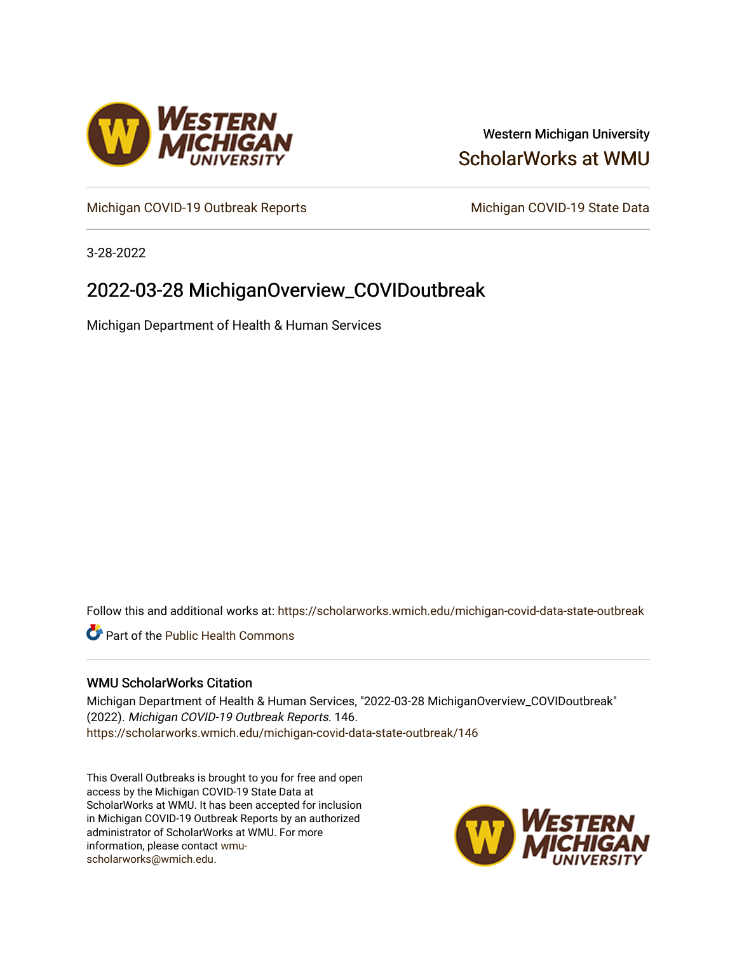

## Western Michigan University [ScholarWorks at WMU](https://scholarworks.wmich.edu/)

[Michigan COVID-19 Outbreak Reports](https://scholarworks.wmich.edu/michigan-covid-data-state-outbreak) Michigan COVID-19 State Data

3-28-2022

# 2022-03-28 MichiganOverview\_COVIDoutbreak

Michigan Department of Health & Human Services

Follow this and additional works at: [https://scholarworks.wmich.edu/michigan-covid-data-state-outbreak](https://scholarworks.wmich.edu/michigan-covid-data-state-outbreak?utm_source=scholarworks.wmich.edu%2Fmichigan-covid-data-state-outbreak%2F146&utm_medium=PDF&utm_campaign=PDFCoverPages)

**C** Part of the Public Health Commons

### WMU ScholarWorks Citation

Michigan Department of Health & Human Services, "2022-03-28 MichiganOverview\_COVIDoutbreak" (2022). Michigan COVID-19 Outbreak Reports. 146. [https://scholarworks.wmich.edu/michigan-covid-data-state-outbreak/146](https://scholarworks.wmich.edu/michigan-covid-data-state-outbreak/146?utm_source=scholarworks.wmich.edu%2Fmichigan-covid-data-state-outbreak%2F146&utm_medium=PDF&utm_campaign=PDFCoverPages) 

This Overall Outbreaks is brought to you for free and open access by the Michigan COVID-19 State Data at ScholarWorks at WMU. It has been accepted for inclusion in Michigan COVID-19 Outbreak Reports by an authorized administrator of ScholarWorks at WMU. For more information, please contact [wmu](mailto:wmu-scholarworks@wmich.edu)[scholarworks@wmich.edu.](mailto:wmu-scholarworks@wmich.edu)

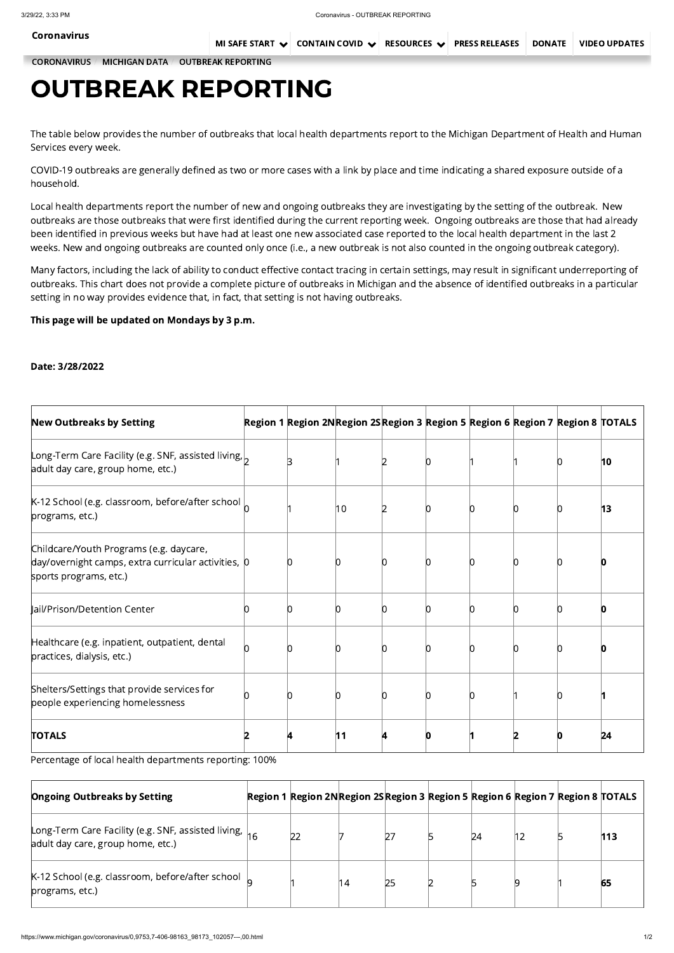[CORONAVIRUS](https://www.michigan.gov/coronavirus/) / [MICHIGAN](https://www.michigan.gov/coronavirus/0,9753,7-406-98163_98173---,00.html) DATA / OUTBREAK [REPORTING](https://www.michigan.gov/coronavirus/0,9753,7-406-98163_98173_102057---,00.html)

# OUTBREAK REPORTING

The table below provides the number of outbreaks that local health departments report to the Michigan Department of Health and Human Services every week.

COVID-19 outbreaks are generally defined as two or more cases with a link by place and time indicating a shared exposure outside of a household.

Local health departments report the number of new and ongoing outbreaks they are investigating by the setting of the outbreak. New outbreaks are those outbreaks that were first identified during the current reporting week. Ongoing outbreaks are those that had already been identified in previous weeks but have had at least one new associated case reported to the local health department in the last 2 weeks. New and ongoing outbreaks are counted only once (i.e., a new outbreak is not also counted in the ongoing outbreak category).

Many factors, including the lack of ability to conduct effective contact tracing in certain settings, may result in significant underreporting of outbreaks. This chart does not provide a complete picture of outbreaks in Michigan and the absence of identified outbreaks in a particular setting in no way provides evidence that, in fact, that setting is not having outbreaks.

## This page will be updated on Mondays by 3 p.m.

### Date: 3/28/2022

| <b>New Outbreaks by Setting</b>                                                                                          | Region 1 Region 2NRegion 2SRegion 3 Region 5 Region 6 Region 7 Region 8 TOTALS |    |  |  |              |
|--------------------------------------------------------------------------------------------------------------------------|--------------------------------------------------------------------------------|----|--|--|--------------|
| Long-Term Care Facility (e.g. SNF, assisted living, $\vert$<br>adult day care, group home, etc.)                         |                                                                                |    |  |  | $ 10\rangle$ |
| $K-12$ School (e.g. classroom, before/after school $\vert$<br>programs, etc.)                                            |                                                                                | 10 |  |  | 13           |
| Childcare/Youth Programs (e.g. daycare,<br>day/overnight camps, extra curricular activities, 0<br>sports programs, etc.) |                                                                                |    |  |  |              |
| ail/Prison/Detention Center                                                                                              |                                                                                |    |  |  |              |
| Healthcare (e.g. inpatient, outpatient, dental<br>practices, dialysis, etc.)                                             |                                                                                |    |  |  |              |
| Shelters/Settings that provide services for<br>people experiencing homelessness                                          |                                                                                |    |  |  |              |

| <b>TOTALS</b> |  | . . |
|---------------|--|-----|
|---------------|--|-----|

Percentage of local health departments reporting: 100%

| <b>Ongoing Outbreaks by Setting</b>                                                                        | Region 1 Region 2NRegion 2SRegion 3 Region 5 Region 6 Region 7 Region 8 TOTALS |     |    |                 |    |     |
|------------------------------------------------------------------------------------------------------------|--------------------------------------------------------------------------------|-----|----|-----------------|----|-----|
| Long-Term Care Facility (e.g. SNF, assisted living, $ $ <sub>16</sub><br>adult day care, group home, etc.) | 22                                                                             |     |    | $\overline{24}$ | 12 | 113 |
| $K-12$ School (e.g. classroom, before/after school $\vert_{\Omega}$<br>programs, etc.)                     |                                                                                | '14 | 25 |                 |    | 65  |

[Coronavirus](https://www.michigan.gov/coronavirus/)

MI SAFE [START](https://www.michigan.gov/coronavirus/0,9753,7-406-100467---,00.html)  $\vee$  contain covid  $\vee$  resources  $\vee$  press releases Donate Video updates